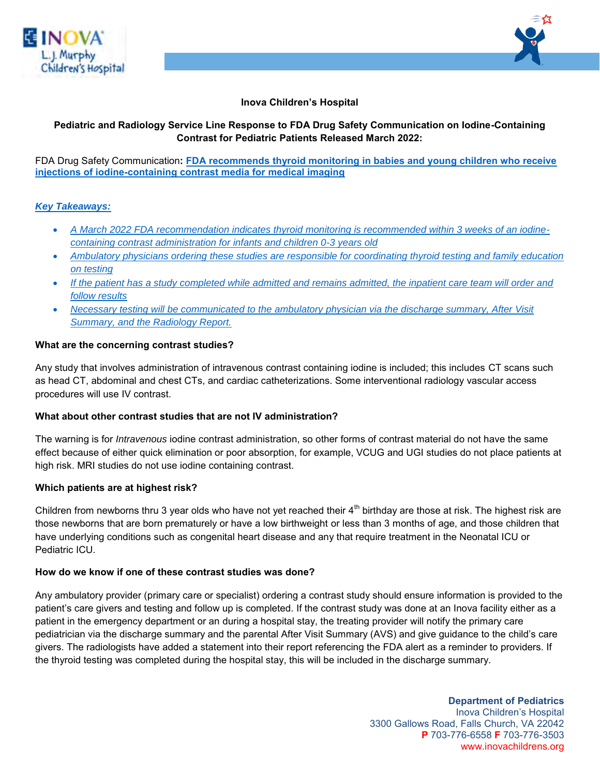



## **Inova Children's Hospital**

# **Pediatric and Radiology Service Line Response to FDA Drug Safety Communication on Iodine-Containing Contrast for Pediatric Patients Released March 2022:**

### FDA Drug Safety Communication**: [FDA recommends thyroid monitoring in babies and young children who receive](https://www.fda.gov/safety/medical-product-safety-information/iodine-containing-contrast-media-drug-safety-communication-fda-recommends-thyroid-monitoring-babies)  [injections of iodine-containing contrast media for medical imaging](https://www.fda.gov/safety/medical-product-safety-information/iodine-containing-contrast-media-drug-safety-communication-fda-recommends-thyroid-monitoring-babies)**

## *Key Takeaways:*

- *A March 2022 FDA recommendation indicates thyroid monitoring is recommended within 3 weeks of an iodinecontaining contrast administration for infants and children 0-3 years old*
- *Ambulatory physicians ordering these studies are responsible for coordinating thyroid testing and family education on testing*
- *If the patient has a study completed while admitted and remains admitted, the inpatient care team will order and follow results*
- *Necessary testing will be communicated to the ambulatory physician via the discharge summary, After Visit Summary, and the Radiology Report.*

### **What are the concerning contrast studies?**

Any study that involves administration of intravenous contrast containing iodine is included; this includes CT scans such as head CT, abdominal and chest CTs, and cardiac catheterizations. Some interventional radiology vascular access procedures will use IV contrast.

## **What about other contrast studies that are not IV administration?**

The warning is for *Intravenous* iodine contrast administration, so other forms of contrast material do not have the same effect because of either quick elimination or poor absorption, for example, VCUG and UGI studies do not place patients at high risk. MRI studies do not use iodine containing contrast.

## **Which patients are at highest risk?**

Children from newborns thru 3 year olds who have not yet reached their  $4^{\text{th}}$  birthday are those at risk. The highest risk are those newborns that are born prematurely or have a low birthweight or less than 3 months of age, and those children that have underlying conditions such as congenital heart disease and any that require treatment in the Neonatal ICU or Pediatric ICU.

## **How do we know if one of these contrast studies was done?**

Any ambulatory provider (primary care or specialist) ordering a contrast study should ensure information is provided to the patient's care givers and testing and follow up is completed. If the contrast study was done at an Inova facility either as a patient in the emergency department or an during a hospital stay, the treating provider will notify the primary care pediatrician via the discharge summary and the parental After Visit Summary (AVS) and give guidance to the child's care givers. The radiologists have added a statement into their report referencing the FDA alert as a reminder to providers. If the thyroid testing was completed during the hospital stay, this will be included in the discharge summary.

> **Department of Pediatrics**  Inova Children's Hospital 3300 Gallows Road, Falls Church, VA 22042 **P** 703-776-6558 **F** 703-776-3503 www.inovachildrens.org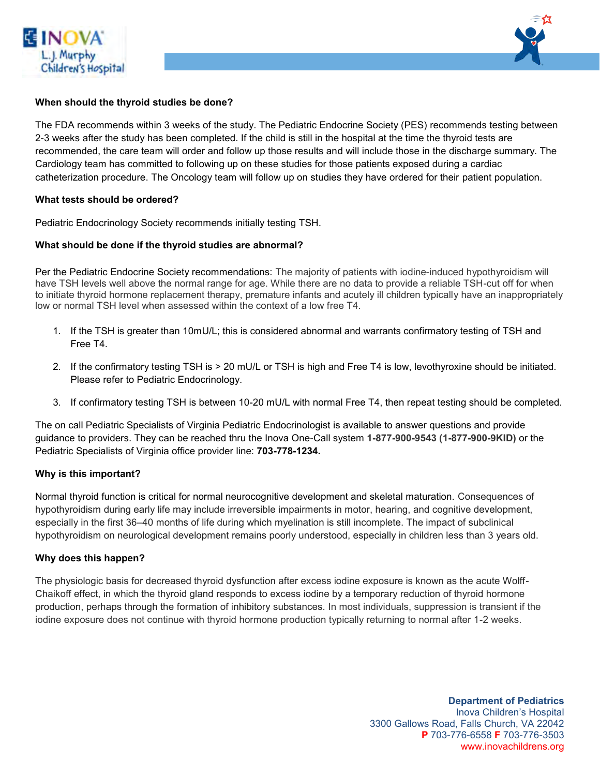



### **When should the thyroid studies be done?**

The FDA recommends within 3 weeks of the study. The Pediatric Endocrine Society (PES) recommends testing between 2-3 weeks after the study has been completed. If the child is still in the hospital at the time the thyroid tests are recommended, the care team will order and follow up those results and will include those in the discharge summary. The Cardiology team has committed to following up on these studies for those patients exposed during a cardiac catheterization procedure. The Oncology team will follow up on studies they have ordered for their patient population.

#### **What tests should be ordered?**

Pediatric Endocrinology Society recommends initially testing TSH.

#### **What should be done if the thyroid studies are abnormal?**

Per the Pediatric Endocrine Society recommendations: The majority of patients with iodine-induced hypothyroidism will have TSH levels well above the normal range for age. While there are no data to provide a reliable TSH-cut off for when to initiate thyroid hormone replacement therapy, premature infants and acutely ill children typically have an inappropriately low or normal TSH level when assessed within the context of a low free T4.

- 1. If the TSH is greater than 10mU/L; this is considered abnormal and warrants confirmatory testing of TSH and Free T4.
- 2. If the confirmatory testing TSH is > 20 mU/L or TSH is high and Free T4 is low, levothyroxine should be initiated. Please refer to Pediatric Endocrinology.
- 3. If confirmatory testing TSH is between 10-20 mU/L with normal Free T4, then repeat testing should be completed.

The on call Pediatric Specialists of Virginia Pediatric Endocrinologist is available to answer questions and provide guidance to providers. They can be reached thru the Inova One-Call system **1-877-900-9543 (1-877-900-9KID)** or the Pediatric Specialists of Virginia office provider line: **703-778-1234.** 

#### **Why is this important?**

Normal thyroid function is critical for normal neurocognitive development and skeletal maturation. Consequences of hypothyroidism during early life may include irreversible impairments in motor, hearing, and cognitive development, especially in the first 36–40 months of life during which myelination is still incomplete. The impact of subclinical hypothyroidism on neurological development remains poorly understood, especially in children less than 3 years old.

#### **Why does this happen?**

The physiologic basis for decreased thyroid dysfunction after excess iodine exposure is known as the acute Wolff-Chaikoff effect, in which the thyroid gland responds to excess iodine by a temporary reduction of thyroid hormone production, perhaps through the formation of inhibitory substances. In most individuals, suppression is transient if the iodine exposure does not continue with thyroid hormone production typically returning to normal after 1-2 weeks.

> **Department of Pediatrics**  Inova Children's Hospital 3300 Gallows Road, Falls Church, VA 22042 **P** 703-776-6558 **F** 703-776-3503 www.inovachildrens.org